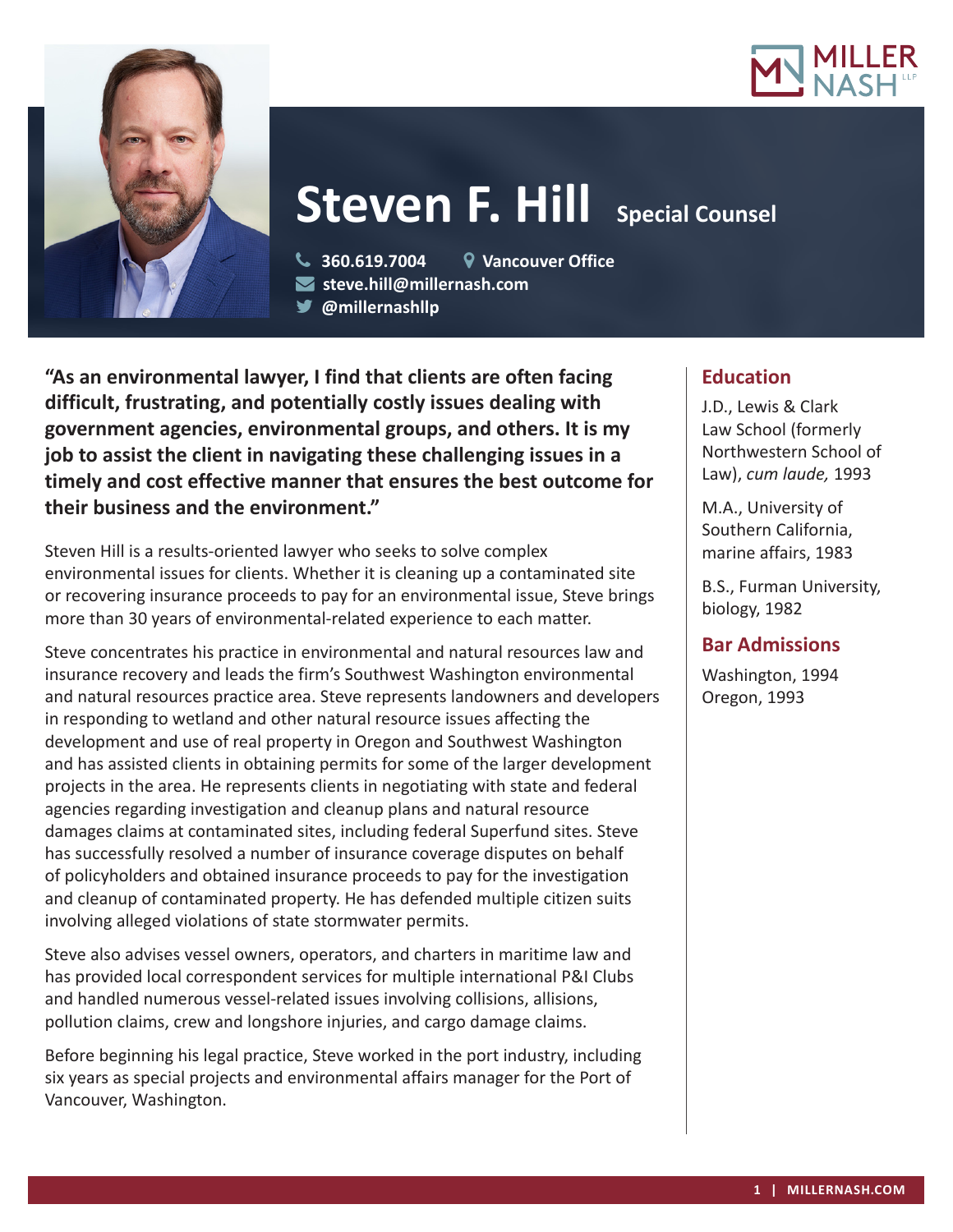



# **Steven F. Hill Special Counsel**

 **360.619.7004 Vancouver Office steve.hill@millernash.com** 

**@millernashllp**

**"As an environmental lawyer, I find that clients are often facing difficult, frustrating, and potentially costly issues dealing with government agencies, environmental groups, and others. It is my job to assist the client in navigating these challenging issues in a timely and cost effective manner that ensures the best outcome for their business and the environment."**

Steven Hill is a results-oriented lawyer who seeks to solve complex environmental issues for clients. Whether it is cleaning up a contaminated site or recovering insurance proceeds to pay for an environmental issue, Steve brings more than 30 years of environmental-related experience to each matter.

Steve concentrates his practice in environmental and natural resources law and insurance recovery and leads the firm's Southwest Washington environmental and natural resources practice area. Steve represents landowners and developers in responding to wetland and other natural resource issues affecting the development and use of real property in Oregon and Southwest Washington and has assisted clients in obtaining permits for some of the larger development projects in the area. He represents clients in negotiating with state and federal agencies regarding investigation and cleanup plans and natural resource damages claims at contaminated sites, including federal Superfund sites. Steve has successfully resolved a number of insurance coverage disputes on behalf of policyholders and obtained insurance proceeds to pay for the investigation and cleanup of contaminated property. He has defended multiple citizen suits involving alleged violations of state stormwater permits.

Steve also advises vessel owners, operators, and charters in maritime law and has provided local correspondent services for multiple international P&I Clubs and handled numerous vessel-related issues involving collisions, allisions, pollution claims, crew and longshore injuries, and cargo damage claims.

Before beginning his legal practice, Steve worked in the port industry, including six years as special projects and environmental affairs manager for the Port of Vancouver, Washington.

# **Education**

J.D., Lewis & Clark Law School (formerly Northwestern School of Law), *cum laude,* 1993

M.A., University of Southern California, marine affairs, 1983

B.S., Furman University, biology, 1982

# **Bar Admissions**

Washington, 1994 Oregon, 1993